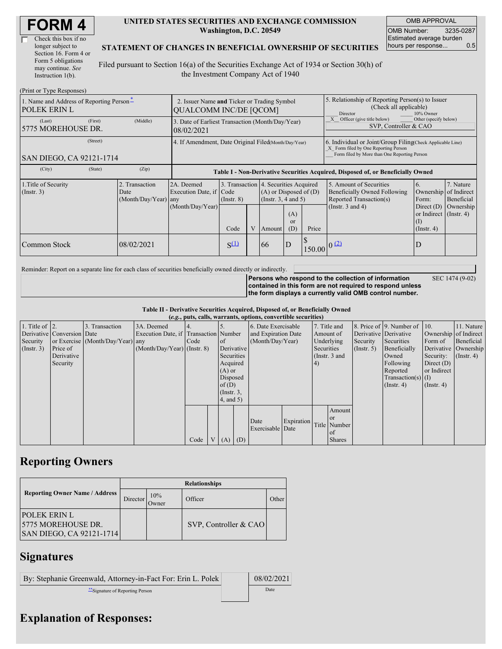| Check this box if no  |
|-----------------------|
| longer subject to     |
| Section 16. Form 4 or |
| Form 5 obligations    |
| may continue. See     |
| Instruction $1(b)$ .  |

#### **UNITED STATES SECURITIES AND EXCHANGE COMMISSION Washington, D.C. 20549**

OMB APPROVAL OMB Number: 3235-0287 Estimated average burden hours per response... 0.5

#### **STATEMENT OF CHANGES IN BENEFICIAL OWNERSHIP OF SECURITIES**

Filed pursuant to Section 16(a) of the Securities Exchange Act of 1934 or Section 30(h) of the Investment Company Act of 1940

| (Print or Type Responses)                                       |                                                      |                                             |                                                                                  |                 |   |                                                                                             |                                                                                                                                                    |        |                                                                                                     |                                                                          |                         |  |
|-----------------------------------------------------------------|------------------------------------------------------|---------------------------------------------|----------------------------------------------------------------------------------|-----------------|---|---------------------------------------------------------------------------------------------|----------------------------------------------------------------------------------------------------------------------------------------------------|--------|-----------------------------------------------------------------------------------------------------|--------------------------------------------------------------------------|-------------------------|--|
| 1. Name and Address of Reporting Person-<br><b>POLEK ERIN L</b> |                                                      |                                             | 2. Issuer Name and Ticker or Trading Symbol<br><b>QUALCOMM INC/DE [QCOM]</b>     |                 |   |                                                                                             |                                                                                                                                                    |        | 5. Relationship of Reporting Person(s) to Issuer<br>(Check all applicable)<br>Director<br>10% Owner |                                                                          |                         |  |
| (Last)<br>5775 MOREHOUSE DR.                                    | (First)                                              | (Middle)                                    | 3. Date of Earliest Transaction (Month/Day/Year)<br>08/02/2021                   |                 |   |                                                                                             |                                                                                                                                                    |        | Other (specify below)<br>Officer (give title below)<br>SVP, Controller & CAO                        |                                                                          |                         |  |
| SAN DIEGO, CA 92121-1714                                        | 4. If Amendment, Date Original Filed(Month/Day/Year) |                                             |                                                                                  |                 |   |                                                                                             | 6. Individual or Joint/Group Filing(Check Applicable Line)<br>X Form filed by One Reporting Person<br>Form filed by More than One Reporting Person |        |                                                                                                     |                                                                          |                         |  |
| (City)                                                          | (State)                                              | (Zip)                                       | Table I - Non-Derivative Securities Acquired, Disposed of, or Beneficially Owned |                 |   |                                                                                             |                                                                                                                                                    |        |                                                                                                     |                                                                          |                         |  |
| 1. Title of Security<br>(Insert. 3)                             |                                                      | Transaction<br>Date<br>(Month/Day/Year) any | 2A. Deemed<br>Execution Date, if Code                                            | $($ Instr. $8)$ |   | 3. Transaction 4. Securities Acquired<br>$(A)$ or Disposed of $(D)$<br>(Insert. 3, 4 and 5) |                                                                                                                                                    |        | 5. Amount of Securities<br>Beneficially Owned Following<br>Reported Transaction(s)                  | 6.<br>Ownership of Indirect<br>Form:                                     | 7. Nature<br>Beneficial |  |
|                                                                 |                                                      |                                             | (Month/Day/Year)                                                                 | Code            | V | Amount                                                                                      | (A)<br><sub>or</sub><br>(D)                                                                                                                        | Price  | (Instr. $3$ and $4$ )                                                                               | Direct $(D)$<br>or Indirect (Instr. 4)<br>$\left($ I<br>$($ Instr. 4 $)$ | Ownership               |  |
| Common Stock                                                    |                                                      | 08/02/2021                                  |                                                                                  | $S^{(1)}$       |   | 66                                                                                          | ID                                                                                                                                                 | 150.00 |                                                                                                     |                                                                          |                         |  |

Reminder: Report on a separate line for each class of securities beneficially owned directly or indirectly.

SEC 1474 (9-02)

**Persons who respond to the collection of information contained in this form are not required to respond unless the form displays a currently valid OMB control number.**

**Table II - Derivative Securities Acquired, Disposed of, or Beneficially Owned (***e.g.***, puts, calls, warrants, options, convertible securities)**

|                        | $(c, g, \mu u, \alpha u)$ , wai rants, options, convertible securities |                                  |                                       |      |                |                 |                  |                     |            |              |                 |                       |                              |                       |                      |
|------------------------|------------------------------------------------------------------------|----------------------------------|---------------------------------------|------|----------------|-----------------|------------------|---------------------|------------|--------------|-----------------|-----------------------|------------------------------|-----------------------|----------------------|
| 1. Title of $\vert$ 2. |                                                                        | 3. Transaction                   | 3A. Deemed                            |      |                |                 |                  | 6. Date Exercisable |            | 7. Title and |                 |                       | 8. Price of 9. Number of 10. |                       | 11. Nature           |
|                        | Derivative Conversion Date                                             |                                  | Execution Date, if Transaction Number |      |                |                 |                  | and Expiration Date |            |              | Amount of       | Derivative Derivative |                              | Ownership of Indirect |                      |
| Security               |                                                                        | or Exercise (Month/Day/Year) any |                                       | Code |                | $\circ$ f       | (Month/Day/Year) |                     |            | Underlying   |                 | Security              | Securities                   | Form of               | Beneficial           |
| $($ Instr. 3 $)$       | Price of                                                               |                                  | $(Month/Day/Year)$ (Instr. 8)         |      |                |                 | Derivative       |                     |            | Securities   |                 | $($ Instr. 5 $)$      | Beneficially                 |                       | Derivative Ownership |
|                        | Derivative                                                             |                                  |                                       |      |                | Securities      |                  |                     |            |              | (Instr. $3$ and |                       | Owned                        | Security:             | $($ Instr. 4 $)$     |
|                        | Security                                                               |                                  |                                       |      |                | Acquired        |                  |                     |            | (4)          |                 |                       | Following                    | Direct $(D)$          |                      |
|                        |                                                                        |                                  |                                       |      |                | $(A)$ or        |                  |                     |            |              |                 |                       | Reported                     | or Indirect           |                      |
|                        |                                                                        |                                  |                                       |      | Disposed       |                 |                  |                     |            |              |                 | Transaction(s) $(I)$  |                              |                       |                      |
|                        |                                                                        |                                  |                                       |      |                | of $(D)$        |                  |                     |            |              |                 |                       | $($ Instr. 4 $)$             | $($ Instr. 4 $)$      |                      |
|                        |                                                                        |                                  |                                       |      |                | $($ Instr. $3,$ |                  |                     |            |              |                 |                       |                              |                       |                      |
|                        |                                                                        |                                  |                                       |      |                | 4, and 5)       |                  |                     |            |              |                 |                       |                              |                       |                      |
|                        |                                                                        |                                  |                                       |      |                |                 |                  |                     |            |              | Amount          |                       |                              |                       |                      |
|                        |                                                                        |                                  |                                       |      |                |                 |                  | Date                | Expiration |              | or or           |                       |                              |                       |                      |
|                        |                                                                        |                                  |                                       |      |                |                 |                  | Exercisable Date    |            |              | Title Number    |                       |                              |                       |                      |
|                        |                                                                        |                                  |                                       |      |                |                 |                  |                     |            |              | of              |                       |                              |                       |                      |
|                        |                                                                        |                                  |                                       | Code | V <sub>1</sub> | $(A)$ $(D)$     |                  |                     |            |              | <b>Shares</b>   |                       |                              |                       |                      |

# **Reporting Owners**

|                                                                        | <b>Relationships</b>  |              |                       |       |  |  |  |  |  |
|------------------------------------------------------------------------|-----------------------|--------------|-----------------------|-------|--|--|--|--|--|
| <b>Reporting Owner Name / Address</b>                                  | Director <sup>'</sup> | 10%<br>Jwner | Officer               | Other |  |  |  |  |  |
| <b>POLEK ERIN L</b><br>15775 MOREHOUSE DR.<br>SAN DIEGO, CA 92121-1714 |                       |              | SVP, Controller & CAO |       |  |  |  |  |  |

# **Signatures**

| By: Stephanie Greenwald, Attorney-in-Fact For: Erin L. Polek | 08/02/2021 |
|--------------------------------------------------------------|------------|
| **Signature of Reporting Person                              | Date       |

### **Explanation of Responses:**